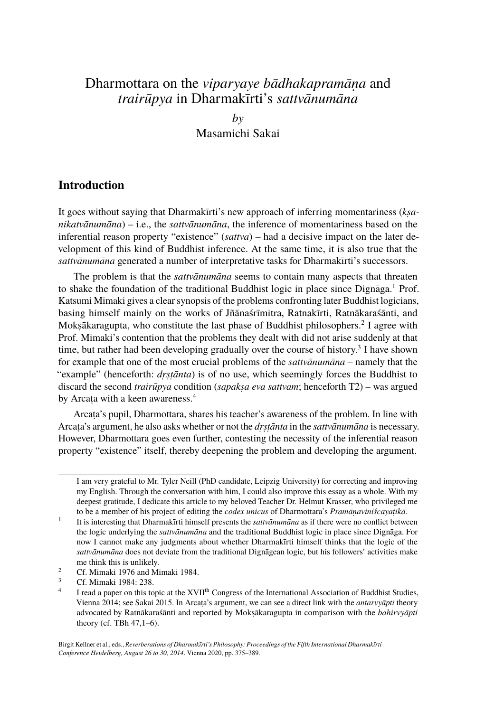# Dharmottara on the *viparyaye bādhakapramāṇa* and *trairūpya* in Dharmakīrti's *sattvānumāna*

*by* Masamichi Sakai

### **Introduction**

It goes without saying that Dharmakīrti's new approach of inferring momentariness (*kṣanikatvānumāna*) – i.e., the *sattvānumāna*, the inference of momentariness based on the inferential reason property "existence" (*sattva*) – had a decisive impact on the later development of this kind of Buddhist inference. At the same time, it is also true that the *sattvānumāna* generated a number of interpretative tasks for Dharmakīrti's successors.

The problem is that the *sattvānumāna* seems to contain many aspects that threaten to shake the foundation of the traditional Buddhist logic in place since Dignāga.<sup>1</sup> Prof. Katsumi Mimaki gives a clear synopsis of the problems confronting later Buddhist logicians, basing himself mainly on the works of Jñānaśrīmitra, Ratnakīrti, Ratnākaraśānti, and Mokṣākaragupta, who constitute the last phase of Buddhist philosophers.<sup>2</sup> I agree with Prof. Mimaki's contention that the problems they dealt with did not arise suddenly at that time, but rather had been developing gradually over the course of history.<sup>3</sup> I have shown for example that one of the most crucial problems of the *sattvānumāna –* namely that the "example" (henceforth: *drstānta*) is of no use, which seemingly forces the Buddhist to discard the second *trairūpya* condition (*sapaksa eva sattvam*; henceforth T2) – was argued by Arcata with a keen awareness.<sup>4</sup>

Arcata's pupil, Dharmottara, shares his teacher's awareness of the problem. In line with Arcaṭa's argument, he also asks whether or not the *dṛṣṭānta* in the *sattvānumāna* is necessary. However, Dharmottara goes even further, contesting the necessity of the inferential reason property "existence" itself, thereby deepening the problem and developing the argument.

I am very grateful to Mr. Tyler Neill (PhD candidate, Leipzig University) for correcting and improving my English. Through the conversation with him, I could also improve this essay as a whole. With my deepest gratitude, I dedicate this article to my beloved Teacher Dr. Helmut Krasser, who privileged me to be a member of his project of editing the *codex unicus* of Dharmottara's *Pramāṇaviniścayaṭīkā*.

<sup>1</sup> It is interesting that Dharmakīrti himself presents the *sattvānumāna* as if there were no conflict between the logic underlying the *sattvānumāna* and the traditional Buddhist logic in place since Dignāga. For now I cannot make any judgments about whether Dharmakīrti himself thinks that the logic of the *sattvānumāna* does not deviate from the traditional Dignāgean logic, but his followers' activities make me think this is unlikely.

<sup>&</sup>lt;sup>2</sup> Cf. Mimaki 1976 and Mimaki 1984.

<sup>3</sup> Cf. Mimaki 1984: 238.

<sup>4</sup> I read a paper on this topic at the XVII<sup>th</sup> Congress of the International Association of Buddhist Studies, Vienna 2014; see Sakai 2015. In Arcaṭa's argument, we can see a direct link with the *antarvyāpti* theory advocated by Ratnākaraśānti and reported by Mokṣākaragupta in comparison with the *bahirvyāpti* theory (cf. TBh 47,1–6).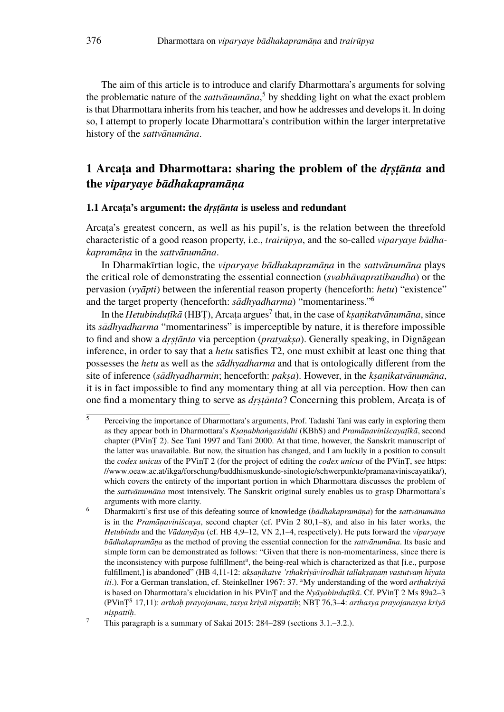The aim of this article is to introduce and clarify Dharmottara's arguments for solving the problematic nature of the *sattvānumāna*, <sup>5</sup> by shedding light on what the exact problem is that Dharmottara inherits from his teacher, and how he addresses and develops it. In doing so, I attempt to properly locate Dharmottara's contribution within the larger interpretative history of the *sattvānumāna*.

# **1 Arcaṭa and Dharmottara: sharing the problem of the** *dṛṣṭānta* **and the** *viparyaye bādhakapramāṇa*

#### **1.1 Arcaṭa's argument: the** *dṛṣṭānta* **is useless and redundant**

Arcaṭa's greatest concern, as well as his pupil's, is the relation between the threefold characteristic of a good reason property, i.e., *trairūpya*, and the so-called *viparyaye bādhakapramāṇa* in the *sattvānumāna*.

In Dharmakīrtian logic, the *viparyaye bādhakapramāṇa* in the *sattvānumāna* plays the critical role of demonstrating the essential connection (*svabhāvapratibandha*) or the pervasion (*vyāpti*) between the inferential reason property (henceforth: *hetu*) "existence" and the target property (henceforth: *sādhyadharma*) "momentariness."<sup>6</sup>

In the *Hetubinduṭīkā* (HBȚ), Arcaṭa argues<sup>7</sup> that, in the case of *kṣaṇikatvānumāna*, since its *sādhyadharma* "momentariness" is imperceptible by nature, it is therefore impossible to find and show a *dṛṣṭānta* via perception (*pratyakṣa*). Generally speaking, in Dignāgean inference, in order to say that a *hetu* satisfies T2, one must exhibit at least one thing that possesses the *hetu* as well as the *sādhyadharma* and that is ontologically different from the site of inference (*sādhyadharmin*; henceforth: *pakṣa*). However, in the *kṣaṇikatvānumāna*, it is in fact impossible to find any momentary thing at all via perception. How then can one find a momentary thing to serve as *dṛṣṭānta*? Concerning this problem, Arcaṭa is of

 $\overline{\overline{\phantom{a}}\phantom{\overline{\phantom{a}}}}$  Perceiving the importance of Dharmottara's arguments, Prof. Tadashi Tani was early in exploring them as they appear both in Dharmottara's *Kṣaṇabhaṅgasiddhi* (KBhS) and *Pramāṇaviniścayaṭīkā*, second chapter (PVinṬ 2). See Tani 1997 and Tani 2000. At that time, however, the Sanskrit manuscript of the latter was unavailable. But now, the situation has changed, and I am luckily in a position to consult the *codex unicus* of the PVinṬ 2 (for the project of editing the *codex unicus* of the PVinṬ, see https: //www.oeaw.ac.at/ikga/forschung/buddhismuskunde-sinologie/schwerpunkte/pramanaviniscayatika/), which covers the entirety of the important portion in which Dharmottara discusses the problem of the *sattvānumāna* most intensively. The Sanskrit original surely enables us to grasp Dharmottara's arguments with more clarity.

<sup>6</sup> Dharmakīrti's first use of this defeating source of knowledge (*bādhakapramāṇa*) for the *sattvānumāna* is in the *Pramāṇaviniścaya*, second chapter (cf. PVin 2 80,1–8), and also in his later works, the *Hetubindu* and the *Vādanyāya* (cf. HB 4,9–12, VN 2,1–4, respectively). He puts forward the *viparyaye bādhakapramāṇa* as the method of proving the essential connection for the *sattvānumāna*. Its basic and simple form can be demonstrated as follows: "Given that there is non-momentariness, since there is the inconsistency with purpose fulfillment<sup>a</sup>, the being-real which is characterized as that [i.e., purpose fulfillment,] is abandoned" (HB 4,11-12: *akṣaṇikatve 'rthakriyāvirodhāt tallakṣaṇaṃ vastutvaṃ hīyata iti.*). For a German translation, cf. Steinkellner 1967: 37. <sup>a</sup>My understanding of the word *arthakriya* is based on Dharmottara's elucidation in his PVinṬ and the *Nyāyabinduṭīkā*. Cf. PVinṬ 2 Ms 89a2–3 (PVinṬ<sup>S</sup> 17,11): *arthaḥ prayojanam*, *tasya kriyā niṣpattiḥ*; NBṬ 76,3–4: *arthasya prayojanasya kriyā niṣpattiḥ*.

<sup>&</sup>lt;sup>7</sup> This paragraph is a summary of Sakai 2015: 284–289 (sections 3.1.–3.2.).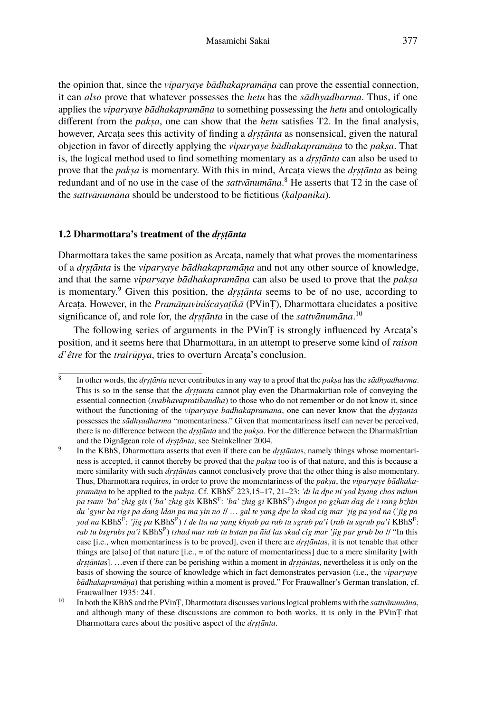the opinion that, since the *viparyaye bādhakapramāṇa* can prove the essential connection, it can *also* prove that whatever possesses the *hetu* has the *sādhyadharma*. Thus, if one applies the *viparyaye bādhakapramāṇa* to something possessing the *hetu* and ontologically different from the *pakṣa*, one can show that the *hetu* satisfies T2. In the final analysis, however, Arcaṭa sees this activity of finding a *dṛṣṭānta* as nonsensical, given the natural objection in favor of directly applying the *viparyaye bādhakapramāṇa* to the *pakṣa*. That is, the logical method used to find something momentary as a *dṛṣṭānta* can also be used to prove that the *pakṣa* is momentary. With this in mind, Arcaṭa views the *dṛṣṭānta* as being redundant and of no use in the case of the *sattvānumāna*. <sup>8</sup> He asserts that T2 in the case of the *sattvānumāna* should be understood to be fictitious (*kālpanika*).

### **1.2 Dharmottara's treatment of the** *dṛṣṭānta*

Dharmottara takes the same position as Arcata, namely that what proves the momentariness of a *dṛṣṭānta* is the *viparyaye bādhakapramāṇa* and not any other source of knowledge, and that the same *viparyaye bādhakapramāṇa* can also be used to prove that the *pakṣa* is momentary.<sup>9</sup> Given this position, the *dṛṣṭānta* seems to be of no use, according to Arcaṭa. However, in the *Pramāṇaviniścayaṭīkā* (PVinṬ), Dharmottara elucidates a positive significance of, and role for, the *dṛṣṭānta* in the case of the *sattvānumāna*. 10

The following series of arguments in the PVinT is strongly influenced by Arcata's position, and it seems here that Dharmottara, in an attempt to preserve some kind of *raison d*'*être* for the *trairūpya*, tries to overturn Arcata's conclusion.

<sup>8</sup> In other words, the *dṛṣṭānta* never contributes in any way to a proof that the *pakṣa* has the *sādhyadharma*. This is so in the sense that the *dṛṣṭānta* cannot play even the Dharmakīrtian role of conveying the essential connection (*svabhāvapratibandha*) to those who do not remember or do not know it, since without the functioning of the *viparyaye bādhakapramāna*, one can never know that the *dṛṣṭānta* possesses the *sādhyadharma* "momentariness." Given that momentariness itself can never be perceived, there is no difference between the *dṛṣṭānta* and the *pakṣa*. For the difference between the Dharmakīrtian and the Dignāgean role of *dṛṣṭānta*, see Steinkellner 2004.

<sup>9</sup> In the KBhS, Dharmottara asserts that even if there can be *drstāntas*, namely things whose momentariness is accepted, it cannot thereby be proved that the *pakṣa* too is of that nature, and this is because a mere similarity with such *dṛṣṭānta*s cannot conclusively prove that the other thing is also momentary. Thus, Dharmottara requires, in order to prove the momentariness of the *pakṣa*, the *viparyaye bādhakapramāṇa* to be applied to the *pakṣa*. Cf. KBhS<sup>F</sup> 223,15–17, 21–23: *'di la dpe ni yod kyang chos mthun pa tsam 'ba' zhig gis* (*'ba' zhig gis* KBhS<sup>F</sup> : *'ba' zhig gi* KBhS<sup>P</sup> ) *dngos po gzhan dag de'i rang bzhin du 'gyur ba rigs pa dang ldan pa ma yin no* // … *gal te yang dpe la skad cig mar 'jig pa yod na* (*'jig pa* yod na KBhS<sup>F</sup>: 'jig pa KBhS<sup>P</sup>) | de lta na yang khyab pa rab tu sgrub pa'i (rab tu sgrub pa'i KBhS<sup>F</sup>: *rab tu bsgrubs pa'i* KBhS<sup>P</sup> ) *tshad mar rab tu bstan pa ñid las skad cig mar 'jig par grub bo* // "In this case [i.e., when momentariness is to be proved], even if there are *drstantas*, it is not tenable that other things are [also] of that nature  $[i.e., = of the nature of momentariness]$  due to a mere similarity [with *drstāntas*]. …even if there can be perishing within a moment in *drstāntas*, nevertheless it is only on the basis of showing the source of knowledge which in fact demonstrates pervasion (i.e., the *viparyaye bādhakapramāṇa*) that perishing within a moment is proved." For Frauwallner's German translation, cf. Frauwallner 1935: 241.

<sup>10</sup> In both the KBhS and the PVinṬ, Dharmottara discusses various logical problems with the *sattvānumāna*, and although many of these discussions are common to both works, it is only in the PVinṬ that Dharmottara cares about the positive aspect of the *dṛṣṭānta*.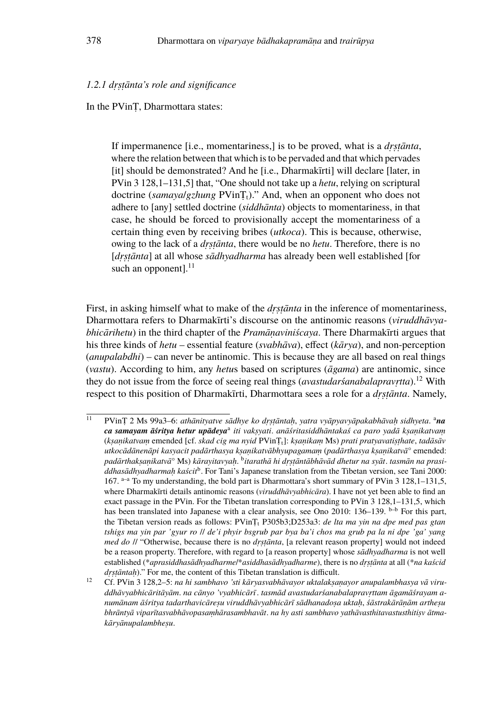#### *1.2.1 dṛṣṭānta's role and significance*

In the PVinṬ, Dharmottara states:

If impermanence [i.e., momentariness,] is to be proved, what is a *drstanta*, where the relation between that which is to be pervaded and that which pervades [it] should be demonstrated? And he [i.e., Dharmakīrti] will declare [later, in PVin 3 128,1–131,5] that, "One should not take up a *hetu*, relying on scriptural doctrine (*samayalgzhung* PVinT<sub>t</sub>)." And, when an opponent who does not adhere to [any] settled doctrine (*siddhānta*) objects to momentariness, in that case, he should be forced to provisionally accept the momentariness of a certain thing even by receiving bribes (*utkoca*). This is because, otherwise, owing to the lack of a *dṛṣṭānta*, there would be no *hetu*. Therefore, there is no [drstānta] at all whose sādhyadharma has already been well established [for such an opponent]. $^{11}$ 

First, in asking himself what to make of the *drstanta* in the inference of momentariness, Dharmottara refers to Dharmakīrti's discourse on the antinomic reasons (*viruddhāvyabhicārihetu*) in the third chapter of the *Pramāṇaviniścaya*. There Dharmakīrti argues that his three kinds of *hetu* – essential feature (*svabhāva*), effect (*kārya*), and non-perception (*anupalabdhi*) – can never be antinomic. This is because they are all based on real things (*vastu*). According to him, any *hetu*s based on scriptures (*āgama*) are antinomic, since they do not issue from the force of seeing real things (*avastudarśanabalapravṛtta*).<sup>12</sup> With respect to this position of Dharmakīrti, Dharmottara sees a role for a *dṛṣṭānta*. Namely,

<sup>11</sup> PVinṬ 2 Ms 99a3–6: *athānityatve sādhye ko dṛṣṭāntaḥ*, *yatra vyāpyavyāpakabhāvaḥ sidhyeta*. <sup>a</sup>*na ca samayam āśritya hetur upādeya*<sup>a</sup> *iti vakṣyati*. *anāśritasiddhāntakaś ca paro yadā kṣaṇikatvaṃ* (*kṣaṇikatvaṃ* emended [cf. *skad cig ma nyid* PVinṬt]: *kṣaṇikaṃ* Ms) *prati pratyavatiṣṭhate*, *tadāsāv utkocādānenāpi kasyacit padārthasya kṣaṇikatvābhyupagamaṃ* (*padārthasya kṣaṇikatvā*° emended: *padārthakṣaṇikatvā*° Ms) *kārayitavyaḥ*. b *itarathā hi dṛṣṭāntābhāvād dhetur na syāt*. *tasmān na prasi*ddhasādhyadharmaḥ kaścit<sup>b</sup>. For Tani's Japanese translation from the Tibetan version, see Tani 2000: 167.  $a^{-a}$  To my understanding, the bold part is Dharmottara's short summary of PVin 3 128,1–131,5, where Dharmakīrti details antinomic reasons (*viruddhāvyabhicāra*). I have not yet been able to find an exact passage in the PVin. For the Tibetan translation corresponding to PVin 3 128,1–131,5, which has been translated into Japanese with a clear analysis, see Ono 2010:  $136-139$ . <sup>b-b</sup> For this part, the Tibetan version reads as follows: PVinṬ<sup>t</sup> P305b3;D253a3: *de lta ma yin na dpe med pas gtan tshigs ma yin par 'gyur ro* // *de'i phyir bsgrub par bya ba'i chos ma grub pa la ni dpe 'ga' yang med do* // "Otherwise, because there is no *drstānta*, [a relevant reason property] would not indeed be a reason property. Therefore, with regard to [a reason property] whose *sādhyadharma* is not well established (\**aprasiddhasādhyadharme*/\**asiddhasādhyadharme*), there is no *dṛṣṭānta* at all (\**na kaścid dṛṣṭāntaḥ*)." For me, the content of this Tibetan translation is difficult.

<sup>12</sup> Cf. PVin 3 128,2–5: *na hi sambhavo 'sti kāryasvabhāvayor uktalakṣaṇayor anupalambhasya vā viruddhāvyabhicāritāyām*. *na cānyo 'vyabhicārī*. *tasmād avastudarśanabalapravṛttam āgamāśrayam anumānam āśritya tadarthavicāreṣu viruddhāvyabhicārī sādhanadoṣa uktaḥ*, *śāstrakārāṇām artheṣu bhrāntyā viparītasvabhāvopasaṃhārasambhavāt*. *na hy asti sambhavo yathāvasthitavastusthitiṣv ātmakāryānupalambheṣu*.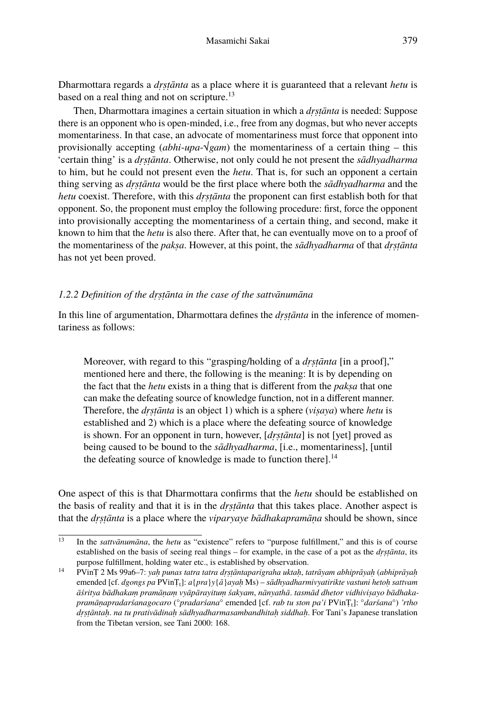Dharmottara regards a *dṛṣṭānta* as a place where it is guaranteed that a relevant *hetu* is based on a real thing and not on scripture.<sup>13</sup>

Then, Dharmottara imagines a certain situation in which a *dṛṣṭānta* is needed: Suppose there is an opponent who is open-minded, i.e., free from any dogmas, but who never accepts momentariness. In that case, an advocate of momentariness must force that opponent into provisionally accepting (*abhi-upa-* $\sqrt{gan}$ ) the momentariness of a certain thing – this 'certain thing' is a *dṛṣṭānta*. Otherwise, not only could he not present the *sādhyadharma* to him, but he could not present even the *hetu*. That is, for such an opponent a certain thing serving as *dṛṣṭānta* would be the first place where both the *sādhyadharma* and the *hetu* coexist. Therefore, with this *drstānta* the proponent can first establish both for that opponent. So, the proponent must employ the following procedure: first, force the opponent into provisionally accepting the momentariness of a certain thing, and second, make it known to him that the *hetu* is also there. After that, he can eventually move on to a proof of the momentariness of the *pakṣa*. However, at this point, the *sādhyadharma* of that *dṛṣṭānta* has not yet been proved.

#### *1.2.2 Definition of the dṛṣṭānta in the case of the sattvānumāna*

In this line of argumentation, Dharmottara defines the *drstanta* in the inference of momentariness as follows:

Moreover, with regard to this "grasping/holding of a *dṛṣṭānta* [in a proof]," mentioned here and there, the following is the meaning: It is by depending on the fact that the *hetu* exists in a thing that is different from the *pakṣa* that one can make the defeating source of knowledge function, not in a different manner. Therefore, the *dṛṣṭānta* is an object 1) which is a sphere (*viṣaya*) where *hetu* is established and 2) which is a place where the defeating source of knowledge is shown. For an opponent in turn, however, [*dṛṣṭānta*] is not [yet] proved as being caused to be bound to the *sādhyadharma*, [i.e., momentariness], [until the defeating source of knowledge is made to function there]. $<sup>14</sup>$ </sup>

One aspect of this is that Dharmottara confirms that the *hetu* should be established on the basis of reality and that it is in the *dṛṣṭānta* that this takes place. Another aspect is that the *dṛṣṭānta* is a place where the *viparyaye bādhakapramāṇa* should be shown, since

<sup>&</sup>lt;sup>13</sup> In the *sattvānumāna*, the *hetu* as "existence" refers to "purpose fulfillment," and this is of course established on the basis of seeing real things – for example, in the case of a pot as the *drstanta*, its purpose fulfillment, holding water etc., is established by observation.

<sup>14</sup> PVinṬ 2 Ms 99a6–7: *yaḥ punas tatra tatra dṛṣṭāntaparigraha uktaḥ*, *tatrāyam abhiprāyaḥ* (*abhiprāyaḥ* emended [cf. *dgongs pa* PVinṬt]: *a*{*pra*}*y*{*ā*}*ayaḥ* Ms) – *sādhyadharmivyatirikte vastuni hetoḥ sattvam āśritya bādhakaṃ pramāṇaṃ vyāpārayituṃ śakyam*, *nānyathā*. *tasmād dhetor vidhiviṣayo bādhakapramāṇapradarśanagocaro* (°*pradarśana*° emended [cf. *rab tu ston pa'i* PVinṬt]: °*darśana*°) *'rtho dṛṣṭāntaḥ*. *na tu prativādinaḥ sādhyadharmasambandhitaḥ siddhaḥ*. For Tani's Japanese translation from the Tibetan version, see Tani 2000: 168.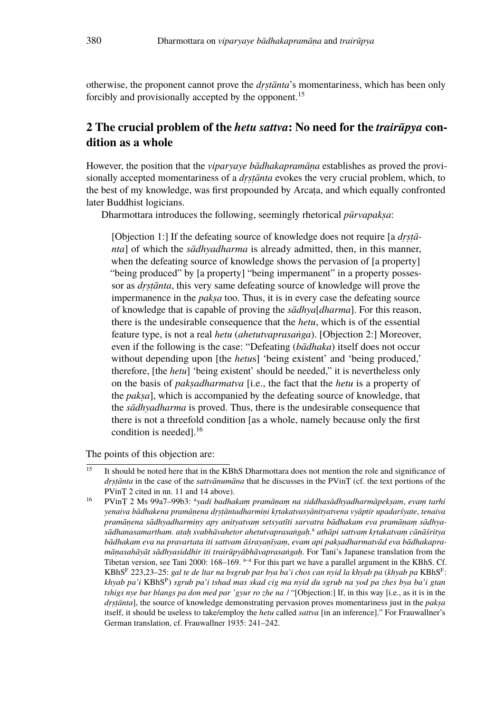otherwise, the proponent cannot prove the *dṛṣtānta*'s momentariness, which has been only forcibly and provisionally accepted by the opponent.<sup>15</sup>

# **2 The crucial problem of the** *hetu sattva***: No need for the** *trairūpya* **condition as a whole**

However, the position that the *viparyaye bādhakapramāṇa* establishes as proved the provisionally accepted momentariness of a *dṛṣṭānta* evokes the very crucial problem, which, to the best of my knowledge, was first propounded by Arcata, and which equally confronted later Buddhist logicians.

Dharmottara introduces the following, seemingly rhetorical *pūrvapakṣa*:

[Objection 1:] If the defeating source of knowledge does not require [a *drstānta*] of which the *sādhyadharma* is already admitted, then, in this manner, when the defeating source of knowledge shows the pervasion of [a property] "being produced" by [a property] "being impermanent" in a property possessor as *dṛṣṭānta*, this very same defeating source of knowledge will prove the impermanence in the *paksa* too. Thus, it is in every case the defeating source of knowledge that is capable of proving the *sādhya*[*dharma*]. For this reason, there is the undesirable consequence that the *hetu*, which is of the essential feature type, is not a real *hetu* (*ahetutvaprasaṅga*). [Objection 2:] Moreover, even if the following is the case: "Defeating (*bādhaka*) itself does not occur without depending upon [the *hetu*s] 'being existent' and 'being produced,' therefore, [the *hetu*] 'being existent' should be needed," it is nevertheless only on the basis of *pakṣadharmatva* [i.e., the fact that the *hetu* is a property of the *pakṣa*], which is accompanied by the defeating source of knowledge, that the *sādhyadharma* is proved. Thus, there is the undesirable consequence that there is not a threefold condition [as a whole, namely because only the first condition is needed].<sup>16</sup>

The points of this objection are:

 $\frac{15}{15}$  It should be noted here that in the KBhS Dharmottara does not mention the role and significance of *dṛṣṭānta* in the case of the *sattvānumāna* that he discusses in the PVinṬ (cf. the text portions of the PVinṬ 2 cited in nn. 11 and 14 above).

<sup>&</sup>lt;sup>16</sup> PVinȚ 2 Ms 99a7–99b3: <sup>a</sup>yadi badhakam pramāṇaṃ na siddhasādhyadharmāpekṣam, evaṃ tarhi *yenaiva bādhakena pramāṇena dṛṣṭāntadharmiṇi kṛtakatvasyānityatvena vyāptir upadarśyate*, *tenaiva pramāṇena sādhyadharmiṇy apy anityatvaṃ setsyatīti sarvatra bādhakam eva pramāṇaṃ sādhyasādhanasamartham*. *ataḥ svabhāvahetor ahetutvaprasaṅgaḥ*. <sup>a</sup> *athāpi sattvaṃ kṛtakatvaṃ cānāśritya bādhakam eva na pravartata iti sattvam āśrayaṇīyaṃ*, *evam api pakṣadharmatvād eva bādhakapramāṇasahāyāt sādhyasiddhir iti trairūpyābhāvaprasaṅgaḥ*. For Tani's Japanese translation from the Tibetan version, see Tani 2000:  $168-169$ .  $a^{-a}$  For this part we have a parallel argument in the KBhS. Cf. KBhS<sup>F</sup> 223,23–25: *gal te de ltar na bsgrub par bya ba'i chos can nyid la khyab pa* (*khyab pa* KBhS<sup>F</sup> : *khyab pa'i* KBhS<sup>P</sup> ) *sgrub pa'i tshad mas skad cig ma nyid du sgrub na yod pa zhes bya ba'i gtan tshigs nye bar blangs pa don med par 'gyur ro zhe na* / "[Objection:] If, in this way [i.e., as it is in the *drstānta*], the source of knowledge demonstrating pervasion proves momentariness just in the *paksa* itself, it should be useless to take/employ the *hetu* called *sattva* [in an inference]." For Frauwallner's German translation, cf. Frauwallner 1935: 241–242.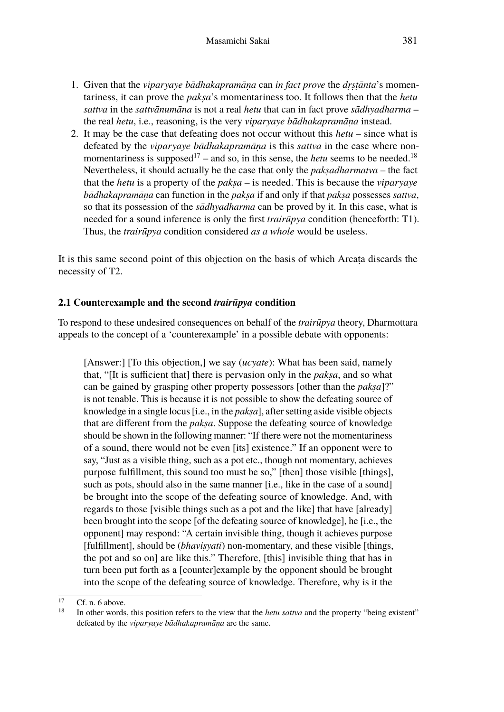- 1. Given that the *viparyaye bādhakapramāṇa* can *in fact prove* the *dṛṣṭānta*'s momentariness, it can prove the *pakṣa*'s momentariness too. It follows then that the *hetu sattva* in the *sattvānumāna* is not a real *hetu* that can in fact prove *sādhyadharma* – the real *hetu*, i.e., reasoning, is the very *viparyaye bādhakapramāṇa* instead.
- 2. It may be the case that defeating does not occur without this *hetu* since what is defeated by the *viparyaye bādhakapramāṇa* is this *sattva* in the case where nonmomentariness is supposed<sup>17</sup> – and so, in this sense, the *hetu* seems to be needed.<sup>18</sup> Nevertheless, it should actually be the case that only the *pakṣadharmatva* – the fact that the *hetu* is a property of the *pakṣa* – is needed. This is because the *viparyaye bādhakapramāṇa* can function in the *pakṣa* if and only if that *pakṣa* possesses *sattva*, so that its possession of the *sādhyadharma* can be proved by it. In this case, what is needed for a sound inference is only the first *trairūpya* condition (henceforth: T1). Thus, the *trairūpya* condition considered *as a whole* would be useless.

It is this same second point of this objection on the basis of which Arcata discards the necessity of T2.

#### **2.1 Counterexample and the second** *trairūpya* **condition**

To respond to these undesired consequences on behalf of the *trairūpya* theory, Dharmottara appeals to the concept of a 'counterexample' in a possible debate with opponents:

[Answer:] [To this objection,] we say (*ucyate*): What has been said, namely that, "[It is sufficient that] there is pervasion only in the *pakṣa*, and so what can be gained by grasping other property possessors [other than the *pakṣa*]?" is not tenable. This is because it is not possible to show the defeating source of knowledge in a single locus [i.e., in the *pakṣa*], after setting aside visible objects that are different from the *pakṣa*. Suppose the defeating source of knowledge should be shown in the following manner: "If there were not the momentariness of a sound, there would not be even [its] existence." If an opponent were to say, "Just as a visible thing, such as a pot etc., though not momentary, achieves purpose fulfillment, this sound too must be so," [then] those visible [things], such as pots, should also in the same manner [i.e., like in the case of a sound] be brought into the scope of the defeating source of knowledge. And, with regards to those [visible things such as a pot and the like] that have [already] been brought into the scope [of the defeating source of knowledge], he [i.e., the opponent] may respond: "A certain invisible thing, though it achieves purpose [fulfillment], should be (*bhaviṣyati*) non-momentary, and these visible [things, the pot and so on] are like this." Therefore, [this] invisible thing that has in turn been put forth as a [counter]example by the opponent should be brought into the scope of the defeating source of knowledge. Therefore, why is it the

 $\frac{17}{18}$  Cf. n. 6 above.

<sup>18</sup> In other words, this position refers to the view that the *hetu sattva* and the property "being existent" defeated by the *viparyaye bādhakapramāṇa* are the same.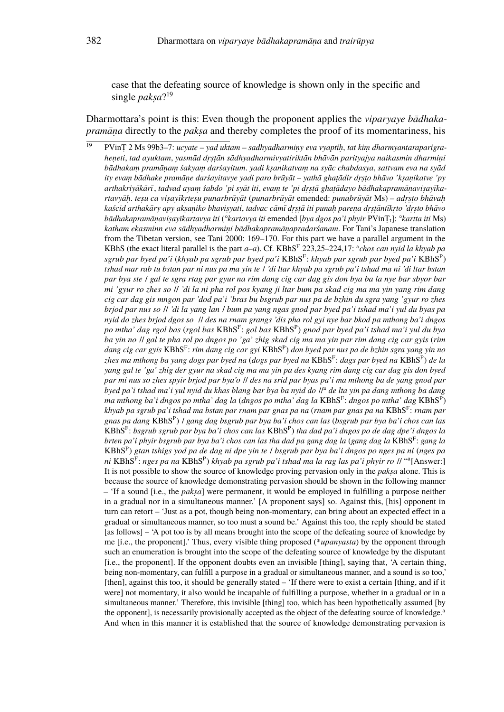case that the defeating source of knowledge is shown only in the specific and single *pakṣa*? 19

Dharmottara's point is this: Even though the proponent applies the *viparyaye bādhakapramāna* directly to the *paksa* and thereby completes the proof of its momentariness, his

<sup>19</sup> PVinṬ 2 Ms 99b3–7: *ucyate – yad uktam – sādhyadharmiṇy eva vyāptiḥ*, *tat kiṃ dharmyantaraparigraheṇeti*, *tad ayuktam*, *yasmād dṛṣṭān sādhyadharmivyatiriktān bhāvān parityajya naikasmin dharmiṇi bādhakaṃ pramāṇaṃ śakyaṃ darśayitum*. *yadi kṣanikatvaṃ na syāc chabdasya*, *sattvam eva na syād ity evaṃ bādhake pramāṇe darśayitavye yadi paro brūyāt – yathā ghaṭādir dṛṣṭo bhāvo 'kṣaṇikatve 'py arthakriyākārī*, *tadvad ayaṃ śabdo 'pi syāt iti*, *evaṃ te 'pi dṛṣṭā ghaṭādayo bādhakapramāṇaviṣayīkartavyāḥ*. *teṣu ca viṣayīkṛteṣu punarbrūyāt* (*punarbrūyāt* emended: *punabrūyāt* Ms) *– adṛṣṭo bhāvaḥ kaścid arthakāry apy akṣaṇiko bhaviṣyati*, *tadvac cāmī dṛṣṭā iti punaḥ pareṇa dṛṣṭāntīkṛto 'dṛṣto bhāvo bādhakapramāṇaviṣayīkartavya iti* (*°kartavya iti* emended [*bya dgos pa'i phyir* PVinṬt]: *°kartta iti* Ms) *katham ekasminn eva sādhyadharmiṇi bādhakapramāṇapradarśanam*. For Tani's Japanese translation from the Tibetan version, see Tani 2000: 169–170. For this part we have a parallel argument in the KBhS (the exact literal parallel is the part *a*–*a*). Cf. KBhS<sup>F</sup> 223,25–224,17: <sup>a</sup>chos can nyid la khyab pa *sgrub par byed pa'i* (*khyab pa sgrub par byed pa'i* KBhS<sup>F</sup> : *khyab par sgrub par byed pa'i* KBhS<sup>P</sup> ) *tshad mar rab tu bstan par ni nus pa ma yin te* / *'di ltar khyab pa sgrub pa'i tshad ma ni 'di ltar bstan par bya ste* / *gal te sgra rtag par gyur na rim dang cig car dag gis don bya ba la nye bar sbyor bar mi 'gyur ro zhes so* // *'di la ni pha rol pos kyang ji ltar bum pa skad cig ma ma yin yang rim dang cig car dag gis mngon par 'dod pa'i 'bras bu bsgrub par nus pa de bzhin du sgra yang 'gyur ro zhes brjod par nus so* // *'di la yang lan* / *bum pa yang ngas gnod par byed pa'i tshad ma'i yul du byas pa nyid do zhes brjod dgos so* // *des na rnam grangs 'dis pha rol gyi nye bar bkod pa mthong ba'i dngos po mtha' dag rgol bas* (*rgol bas* KBhS<sup>F</sup> : *gol bas* KBhS<sup>P</sup> ) *gnod par byed pa'i tshad ma'i yul du bya ba yin no* // *gal te pha rol po dngos po 'ga' zhig skad cig ma ma yin par rim dang cig car gyis* (*rim dang cig car gyis* KBhS<sup>F</sup> : *rim dang cig car gyi* KBhS<sup>P</sup> ) *don byed par nus pa de bzhin sgra yang yin no zhes ma mthong ba yang dogs par byed na* (*dogs par byed na* KBhS<sup>F</sup> : *dags par byed na* KBhS<sup>P</sup> ) *de la yang gal te 'ga' zhig der gyur na skad cig ma ma yin pa des kyang rim dang cig car dag gis don byed par mi nus so zhes spyir brjod par bya'o* // *des na srid par byas pa'i ma mthong ba de yang gnod par byed pa'i tshad ma'i yul nyid du khas blang bar bya ba nyid do* //<sup>a</sup> *de lta yin pa dang mthong ba dang ma mthong ba'i dngos po mtha' dag la* (*dngos po mtha' dag la* KBhS<sup>F</sup> : *dngos po mtha' dag* KBhS<sup>P</sup> ) *khyab pa sgrub pa'i tshad ma bstan par rnam par gnas pa na* (*rnam par gnas pa na* KBhS<sup>F</sup> : *rnam par gnas pa dang* KBhS<sup>P</sup> ) / *gang dag bsgrub par bya ba'i chos can las* (*bsgrub par bya ba'i chos can las* KBhS<sup>F</sup> : *bsgrub sgrub par bya ba'i chos can las* KBhS<sup>P</sup> ) *tha dad pa'i dngos po de dag dpe'i dngos la brten pa'i phyir bsgrub par bya ba'i chos can las tha dad pa gang dag la* (*gang dag la* KBhS<sup>F</sup> : *gang la* KBhS<sup>P</sup> ) *gtan tshigs yod pa de dag ni dpe yin te* / *bsgrub par bya ba'i dngos po nges pa ni* (*nges pa* ni KBhS<sup>F</sup>: nges pa na KBhS<sup>P</sup>) khyab pa sgrub pa'i tshad ma la rag las pa'i phyir ro // ''ª[Answer:] It is not possible to show the source of knowledge proving pervasion only in the *pakṣa* alone. This is because the source of knowledge demonstrating pervasion should be shown in the following manner – 'If a sound [i.e., the *pakṣa*] were permanent, it would be employed in fulfilling a purpose neither in a gradual nor in a simultaneous manner.' [A proponent says] so. Against this, [his] opponent in turn can retort – 'Just as a pot, though being non-momentary, can bring about an expected effect in a gradual or simultaneous manner, so too must a sound be.' Against this too, the reply should be stated [as follows] – 'A pot too is by all means brought into the scope of the defeating source of knowledge by me [i.e., the proponent].' Thus, every visible thing proposed (\**upanyasta*) by the opponent through such an enumeration is brought into the scope of the defeating source of knowledge by the disputant [i.e., the proponent]. If the opponent doubts even an invisible [thing], saying that, 'A certain thing, being non-momentary, can fulfill a purpose in a gradual or simultaneous manner, and a sound is so too,' [then], against this too, it should be generally stated – 'If there were to exist a certain [thing, and if it were] not momentary, it also would be incapable of fulfilling a purpose, whether in a gradual or in a simultaneous manner.' Therefore, this invisible [thing] too, which has been hypothetically assumed [by the opponent], is necessarily provisionally accepted as the object of the defeating source of knowledge.<sup>a</sup> And when in this manner it is established that the source of knowledge demonstrating pervasion is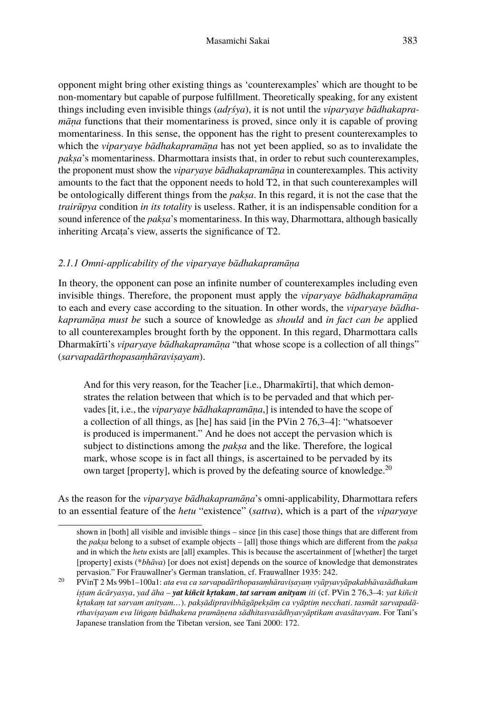opponent might bring other existing things as 'counterexamples' which are thought to be non-momentary but capable of purpose fulfillment. Theoretically speaking, for any existent things including even invisible things (*adṛśya*), it is not until the *viparyaye bādhakapramāṇa* functions that their momentariness is proved, since only it is capable of proving momentariness. In this sense, the opponent has the right to present counterexamples to which the *viparyaye bādhakapramāṇa* has not yet been applied, so as to invalidate the *pakṣa*'s momentariness. Dharmottara insists that, in order to rebut such counterexamples, the proponent must show the *viparyaye bādhakapramāṇa* in counterexamples. This activity amounts to the fact that the opponent needs to hold T2, in that such counterexamples will be ontologically different things from the *pakṣa*. In this regard, it is not the case that the *trairūpya* condition *in its totality* is useless. Rather, it is an indispensable condition for a sound inference of the *paksa*'s momentariness. In this way, Dharmottara, although basically inheriting Arcaṭa's view, asserts the significance of T2.

### *2.1.1 Omni-applicability of the viparyaye bādhakapramāṇa*

In theory, the opponent can pose an infinite number of counterexamples including even invisible things. Therefore, the proponent must apply the *viparyaye bādhakapramāṇa* to each and every case according to the situation. In other words, the *viparyaye bādhakapramāṇa must be* such a source of knowledge as *should* and *in fact can be* applied to all counterexamples brought forth by the opponent. In this regard, Dharmottara calls Dharmakīrti's *viparyaye bādhakapramāṇa* "that whose scope is a collection of all things" (*sarvapadārthopasaṃhāraviṣayam*).

And for this very reason, for the Teacher [i.e., Dharmakīrti], that which demonstrates the relation between that which is to be pervaded and that which pervades [it, i.e., the *viparyaye bādhakapramāṇa*,] is intended to have the scope of a collection of all things, as [he] has said [in the PVin 2 76,3–4]: "whatsoever is produced is impermanent." And he does not accept the pervasion which is subject to distinctions among the *pakṣa* and the like. Therefore, the logical mark, whose scope is in fact all things, is ascertained to be pervaded by its own target [property], which is proved by the defeating source of knowledge.<sup>20</sup>

As the reason for the *viparyaye bādhakapramāṇa*'s omni-applicability, Dharmottara refers to an essential feature of the *hetu* "existence" (*sattva*), which is a part of the *viparyaye*

shown in [both] all visible and invisible things – since [in this case] those things that are different from the *pakṣa* belong to a subset of example objects – [all] those things which are different from the *pakṣa* and in which the *hetu* exists are [all] examples. This is because the ascertainment of [whether] the target [property] exists (\**bhāva*) [or does not exist] depends on the source of knowledge that demonstrates pervasion." For Frauwallner's German translation, cf. Frauwallner 1935: 242.

<sup>20</sup> PVinṬ 2 Ms 99b1–100a1: *ata eva ca sarvapadārthopasaṃhāraviṣayaṃ vyāpyavyāpakabhāvasādhakam iṣṭam ācāryasya*, *yad āha – yat kiñcit kṛtakam*, *tat sarvam anityam iti* (cf. PVin 2 76,3–4: *yat kiñcit kṛtakaṃ tat sarvam anityam…*). *pakṣādipravibhāgāpekṣāṃ ca vyāptiṃ necchati*. *tasmāt sarvapadārthaviṣayam eva liṅgaṃ bādhakena pramāṇena sādhitasvasādhyavyāptikam avasātavyam*. For Tani's Japanese translation from the Tibetan version, see Tani 2000: 172.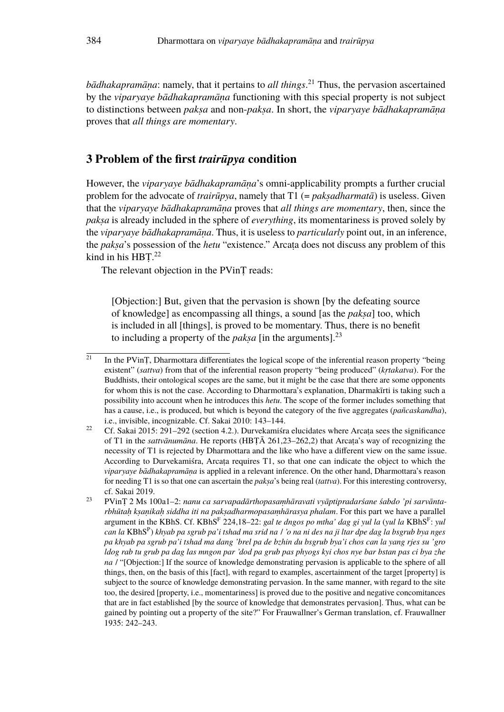*bādhakapramāṇa*: namely, that it pertains to *all things*. <sup>21</sup> Thus, the pervasion ascertained by the *viparyaye bādhakapramāṇa* functioning with this special property is not subject to distinctions between *pakṣa* and non-*pakṣa*. In short, the *viparyaye bādhakapramāṇa* proves that *all things are momentary*.

### **3 Problem of the first** *trairūpya* **condition**

However, the *viparyaye bādhakapramāṇa*'s omni-applicability prompts a further crucial problem for the advocate of *trairūpya*, namely that T1 (= *pakṣadharmatā*) is useless. Given that the *viparyaye bādhakapramāṇa* proves that *all things are momentary*, then, since the *pakṣa* is already included in the sphere of *everything*, its momentariness is proved solely by the *viparyaye bādhakapramāṇa*. Thus, it is useless to *particularly* point out, in an inference, the *pakṣa*'s possession of the *hetu* "existence." Arcaṭa does not discuss any problem of this kind in his HBT.<sup>22</sup>

The relevant objection in the PVinT reads:

[Objection:] But, given that the pervasion is shown [by the defeating source of knowledge] as encompassing all things, a sound [as the *pakṣa*] too, which is included in all [things], is proved to be momentary. Thus, there is no benefit to including a property of the *paksa* [in the arguments].<sup>23</sup>

 $\overline{a_1}$  In the PVinT, Dharmottara differentiates the logical scope of the inferential reason property "being existent" (*sattva*) from that of the inferential reason property "being produced" (*kṛtakatva*). For the Buddhists, their ontological scopes are the same, but it might be the case that there are some opponents for whom this is not the case. According to Dharmottara's explanation, Dharmakīrti is taking such a possibility into account when he introduces this *hetu*. The scope of the former includes something that has a cause, i.e., is produced, but which is beyond the category of the five aggregates (*pañcaskandha*), i.e., invisible, incognizable. Cf. Sakai 2010: 143–144.

<sup>&</sup>lt;sup>22</sup> Cf. Sakai 2015: 291–292 (section 4.2.). Durvekamista elucidates where Arcata sees the significance of T1 in the *sattvānumāna*. He reports (HBṬĀ 261,23–262,2) that Arcaṭa's way of recognizing the necessity of T1 is rejected by Dharmottara and the like who have a different view on the same issue. According to Durvekamiśra, Arcaṭa requires T1, so that one can indicate the object to which the *viparyaye bādhakapramāṇa* is applied in a relevant inference. On the other hand, Dharmottara's reason for needing T1 is so that one can ascertain the *pakṣa*'s being real (*tattva*). For this interesting controversy, cf. Sakai 2019.

<sup>23</sup> PVinṬ 2 Ms 100a1–2: *nanu ca sarvapadārthopasaṃhāravati vyāptipradarśane śabdo 'pi sarvāntarbhūtaḥ kṣaṇikaḥ siddha iti na pakṣadharmopasaṃhārasya phalam*. For this part we have a parallel argument in the KBhS. Cf. KBhS<sup>F</sup> 224,18–22: *gal te dngos po mtha' dag gi yul la (yul la* KBhS<sup>F</sup>: *yul can la* KBhS<sup>P</sup> ) *khyab pa sgrub pa'i tshad ma srid na* / *'o na ni des na ji ltar dpe dag la bsgrub bya nges pa khyab pa sgrub pa'i tshad ma dang 'brel pa de bzhin du bsgrub bya'i chos can la yang rjes su 'gro ldog rab tu grub pa dag las mngon par 'dod pa grub pas phyogs kyi chos nye bar bstan pas ci bya zhe na* / "[Objection:] If the source of knowledge demonstrating pervasion is applicable to the sphere of all things, then, on the basis of this [fact], with regard to examples, ascertainment of the target [property] is subject to the source of knowledge demonstrating pervasion. In the same manner, with regard to the site too, the desired [property, i.e., momentariness] is proved due to the positive and negative concomitances that are in fact established [by the source of knowledge that demonstrates pervasion]. Thus, what can be gained by pointing out a property of the site?" For Frauwallner's German translation, cf. Frauwallner 1935: 242–243.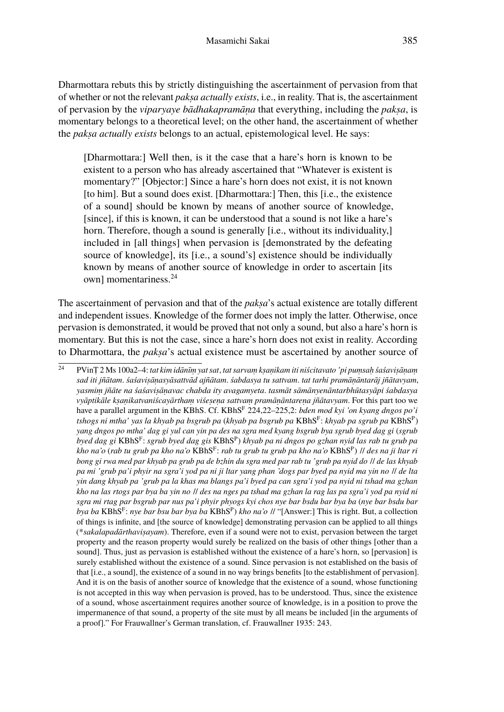Dharmottara rebuts this by strictly distinguishing the ascertainment of pervasion from that of whether or not the relevant *pakṣa actually exists*, i.e., in reality. That is, the ascertainment of pervasion by the *viparyaye bādhakapramāṇa* that everything, including the *pakṣa*, is momentary belongs to a theoretical level; on the other hand, the ascertainment of whether the *pakṣa actually exists* belongs to an actual, epistemological level. He says:

[Dharmottara:] Well then, is it the case that a hare's horn is known to be existent to a person who has already ascertained that "Whatever is existent is momentary?" [Objector:] Since a hare's horn does not exist, it is not known [to him]. But a sound does exist. [Dharmottara:] Then, this [i.e., the existence of a sound] should be known by means of another source of knowledge, [since], if this is known, it can be understood that a sound is not like a hare's horn. Therefore, though a sound is generally [i.e., without its individuality,] included in [all things] when pervasion is [demonstrated by the defeating source of knowledge], its [i.e., a sound's] existence should be individually known by means of another source of knowledge in order to ascertain [its own] momentariness.<sup>24</sup>

The ascertainment of pervasion and that of the *paksa*'s actual existence are totally different and independent issues. Knowledge of the former does not imply the latter. Otherwise, once pervasion is demonstrated, it would be proved that not only a sound, but also a hare's horn is momentary. But this is not the case, since a hare's horn does not exist in reality. According to Dharmottara, the *pakṣa*'s actual existence must be ascertained by another source of

<sup>24</sup> PVinṬ 2 Ms 100a2–4: *tat kim idānīṃ yat sat*, *tat sarvaṃ kṣaṇikam iti niścitavato 'pi puṃsaḥ śaśaviṣāṇaṃ sad iti jñātam*. *śaśaviṣāṇasyāsattvād ajñātam*. *śabdasya tu sattvam*. *tat tarhi pramāṇāntarāj jñātavyam*, *yasmiṃ jñāte na śaśaviṣāṇavac chabda ity avagamyeta*. *tasmāt sāmānyenāntarbhūtasyāpi śabdasya vyāptikāle kṣaṇikatvaniścayārthaṃ viśeṣeṇa sattvaṃ pramāṇāntareṇa jñātavyam*. For this part too we have a parallel argument in the KBhS. Cf. KBhS<sup>F</sup> 224,22–225,2: *bden mod kyi 'on kyang dngos po'i tshogs ni mtha' yas la khyab pa bsgrub pa* (*khyab pa bsgrub pa* KBhS<sup>F</sup> : *khyab pa sgrub pa* KBhS<sup>P</sup> ) *yang dngos po mtha' dag gi yul can yin pa des na sgra med kyang bsgrub bya sgrub byed dag gi* (*sgrub byed dag gi* KBhS<sup>F</sup> : *sgrub byed dag gis* KBhS<sup>P</sup> ) *khyab pa ni dngos po gzhan nyid las rab tu grub pa kho na'o* (*rab tu grub pa kho na'o* KBhS<sup>F</sup> : *rab tu grub tu grub pa kho na'o* KBhS<sup>P</sup> ) // *des na ji ltar ri bong gi rwa med par khyab pa grub pa de bzhin du sgra med par rab tu 'grub pa nyid do* // *de las khyab pa mi 'grub pa'i phyir na sgra'i yod pa ni ji ltar yang phan 'dogs par byed pa nyid ma yin no* // *de lta yin dang khyab pa 'grub pa la khas ma blangs pa'i byed pa can sgra'i yod pa nyid ni tshad ma gzhan kho na las rtogs par bya ba yin no* // *des na nges pa tshad ma gzhan la rag las pa sgra'i yod pa nyid ni sgra mi rtag par bsgrub par nus pa'i phyir phyogs kyi chos nye bar bsdu bar bya ba* (*nye bar bsdu bar bya ba* KBhS<sup>F</sup> : *nye bar bsu bar bya ba* KBhS<sup>P</sup> ) *kho na'o* // "[Answer:] This is right. But, a collection of things is infinite, and [the source of knowledge] demonstrating pervasion can be applied to all things (\**sakalapadārthaviṣayam*). Therefore, even if a sound were not to exist, pervasion between the target property and the reason property would surely be realized on the basis of other things [other than a sound]. Thus, just as pervasion is established without the existence of a hare's horn, so [pervasion] is surely established without the existence of a sound. Since pervasion is not established on the basis of that [i.e., a sound], the existence of a sound in no way brings benefits [to the establishment of pervasion]. And it is on the basis of another source of knowledge that the existence of a sound, whose functioning is not accepted in this way when pervasion is proved, has to be understood. Thus, since the existence of a sound, whose ascertainment requires another source of knowledge, is in a position to prove the impermanence of that sound, a property of the site must by all means be included [in the arguments of a proof]." For Frauwallner's German translation, cf. Frauwallner 1935: 243.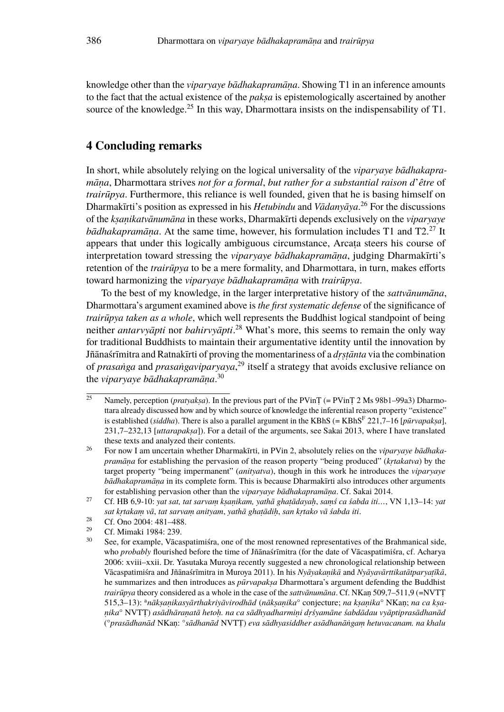knowledge other than the *viparyaye bādhakapramāṇa*. Showing T1 in an inference amounts to the fact that the actual existence of the *pakṣa* is epistemologically ascertained by another source of the knowledge.<sup>25</sup> In this way, Dharmottara insists on the indispensability of T1.

### **4 Concluding remarks**

In short, while absolutely relying on the logical universality of the *viparyaye bādhakapramāṇa*, Dharmottara strives *not for a formal*, *but rather for a substantial raison d*'*être* of *trairūpya*. Furthermore, this reliance is well founded, given that he is basing himself on Dharmakīrti's position as expressed in his *Hetubindu* and *Vādanyāya*. <sup>26</sup> For the discussions of the *kṣaṇikatvānumāna* in these works, Dharmakīrti depends exclusively on the *viparyaye bādhakapramāna*. At the same time, however, his formulation includes T1 and T2.<sup>27</sup> It appears that under this logically ambiguous circumstance, Arcaṭa steers his course of interpretation toward stressing the *viparyaye bādhakapramāṇa*, judging Dharmakīrti's retention of the *trairūpya* to be a mere formality, and Dharmottara, in turn, makes efforts toward harmonizing the *viparyaye bādhakapramāṇa* with *trairūpya*.

To the best of my knowledge, in the larger interpretative history of the *sattvānumāna*, Dharmottara's argument examined above is *the first systematic defense* of the significance of *trairūpya taken as a whole*, which well represents the Buddhist logical standpoint of being neither *antarvyāpti* nor *bahirvyāpti*. <sup>28</sup> What's more, this seems to remain the only way for traditional Buddhists to maintain their argumentative identity until the innovation by Jñānaśrīmitra and Ratnakīrti of proving the momentariness of a *dṛṣṭānta* via the combination of *prasaṅga* and *prasaṅgaviparyaya*, <sup>29</sup> itself a strategy that avoids exclusive reliance on the *viparyaye bādhakapramāṇa*. 30

 $\overline{25}$  Namely, perception (*pratyaksa*). In the previous part of the PVinT (= PVinT 2 Ms 98b1–99a3) Dharmottara already discussed how and by which source of knowledge the inferential reason property "existence" is established (*siddha*). There is also a parallel argument in the KBhS (= KBhS<sup>F</sup> 221,7–16 [*pūrvapakṣa*], 231,7–232,13 [*uttarapakṣa*]). For a detail of the arguments, see Sakai 2013, where I have translated these texts and analyzed their contents.

<sup>26</sup> For now I am uncertain whether Dharmakīrti, in PVin 2, absolutely relies on the *viparyaye bādhakapramāṇa* for establishing the pervasion of the reason property "being produced" (*kṛtakatva*) by the target property "being impermanent" (*anityatva*), though in this work he introduces the *viparyaye bādhakapramāṇa* in its complete form. This is because Dharmakīrti also introduces other arguments for establishing pervasion other than the *viparyaye bādhakapramāṇa*. Cf. Sakai 2014.

<sup>27</sup> Cf. HB 6,9-10: *yat sat, tat sarvaṃ kṣaṇikam, yathā ghaṭādayaḥ*, *saṃś ca śabda iti…*, VN 1,13–14: *yat sat kṛtakaṃ vā*, *tat sarvaṃ anityam*, *yathā ghaṭādiḥ*, *san kṛtako vā śabda iti*.

<sup>&</sup>lt;sup>28</sup> Cf. Ono 2004: 481–488.

<sup>&</sup>lt;sup>29</sup> Cf. Mimaki 1984: 239.

See, for example, Vācaspatimiśra, one of the most renowned representatives of the Brahmanical side, who *probably* flourished before the time of Jñānaśrīmitra (for the date of Vācaspatimiśra, cf. Acharya 2006: xviii–xxii. Dr. Yasutaka Muroya recently suggested a new chronological relationship between Vācaspatimiśra and Jñānaśrīmitra in Muroya 2011). In his *Nyāyakaṇikā* and *Nyāyavārttikatātparyaṭīkā*, he summarizes and then introduces as *pūrvapaksa* Dharmottara's argument defending the Buddhist *trairūpya* theory considered as a whole in the case of the *sattvānumāna*. Cf. NKaṇ 509,7–511,9 (=NVTṬ 515,3–13): <sup>a</sup>*nākṣaṇikasyārthakriyāvirodhād* (*nākṣaṇika*° conjecture; *na kṣaṇika*° NKaṇ; *na ca kṣaṇika*° NVTṬ) *asādhāraṇatā hetoḥ. na ca sādhyadharmiṇi dṛśyamāne śabdādau vyāptiprasādhanād* (°*prasādhanād* NKaṇ: °*sādhanād* NVTṬ) *eva sādhyasiddher asādhanāṅgaṃ hetuvacanam. na khalu*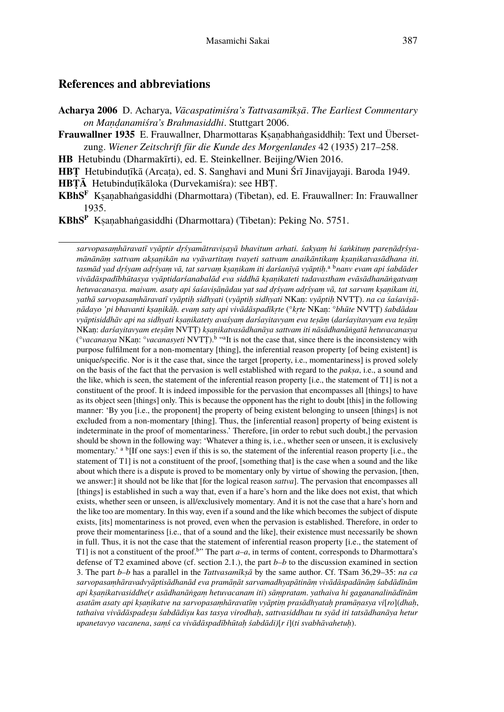### **References and abbreviations**

- **Acharya 2006** D. Acharya, *Vācaspatimiśra's Tattvasamīkṣā*. *The Earliest Commentary on Maṇḍanamiśra's Brahmasiddhi*. Stuttgart 2006.
- **Frauwallner 1935** E. Frauwallner, Dharmottaras Kṣaṇabhaṅgasiddhiḥ: Text und Übersetzung. *Wiener Zeitschrift für die Kunde des Morgenlandes* 42 (1935) 217–258.
- **HB** Hetubindu (Dharmakīrti), ed. E. Steinkellner. Beijing/Wien 2016.
- **HBṬ** Hetubinduṭīkā (Arcaṭa), ed. S. Sanghavi and Muni Śrī Jinavijayaji. Baroda 1949.
- **HBṬĀ** Hetubinduṭīkāloka (Durvekamiśra): see HBṬ.
- **KBhS<sup>F</sup>** Kṣaṇabhaṅgasiddhi (Dharmottara) (Tibetan), ed. E. Frauwallner: In: Frauwallner 1935.
- **KBhS<sup>P</sup>** Kṣaṇabhaṅgasiddhi (Dharmottara) (Tibetan): Peking No. 5751.

*sarvopasaṃhāravatī vyāptir dṛśyamātraviṣayā bhavitum arhati. śakyaṃ hi śaṅkituṃ pareṇādṛśyamānānāṃ sattvam akṣaṇikān na vyāvartitaṃ tvayeti sattvam anaikāntikaṃ kṣaṇikatvasādhana iti. tasmād yad dṛśyam adṛśyaṃ vā, tat sarvaṃ kṣaṇikam iti darśanīyā vyāptiḥ*. a b*nanv evam api śabdāder vivādāspadībhūtasya vyāptidarśanabalād eva siddhā kṣaṇikateti tadavastham evāsādhanāṅgatvaṃ hetuvacanasya. maivam. asaty api śaśaviṣāṇādau yat sad dṛśyam adṛśyaṃ vā, tat sarvaṃ kṣaṇikam iti, yathā sarvopasaṃhāravatī vyāptiḥ sidhyati* (*vyāptiḥ sidhyati* NKaṇ: *vyāptiḥ* NVTṬ). *na ca śaśaviṣāṇādayo 'pi bhavanti kṣaṇikāḥ. evaṃ saty api vivādāspadīkṛte* (°*kṛte* NKaṇ: °*bhūte* NVTṬ) *śabdādau vyāptisiddhāv api na sidhyati kṣaṇikatety avaśyaṃ darśayitavyam eva teṣāṃ* (*darśayitavyam eva teṣāṃ* NKaṇ: *darśayitavyam eteṣāṃ* NVTṬ) *kṣaṇikatvasādhanāya sattvam iti nāsādhanāṅgatā hetuvacanasya* (<sup>o</sup>vacanasya NKaṇ: <sup>o</sup>vacanasyeti NVTȚ).<sup>b</sup> "<sup>a</sup>It is not the case that, since there is the inconsistency with purpose fulfilment for a non-momentary [thing], the inferential reason property [of being existent] is unique/specific. Nor is it the case that, since the target [property, i.e., momentariness] is proved solely on the basis of the fact that the pervasion is well established with regard to the *pakṣa*, i.e., a sound and the like, which is seen, the statement of the inferential reason property [i.e., the statement of T1] is not a constituent of the proof. It is indeed impossible for the pervasion that encompasses all [things] to have as its object seen [things] only. This is because the opponent has the right to doubt [this] in the following manner: 'By you [i.e., the proponent] the property of being existent belonging to unseen [things] is not excluded from a non-momentary [thing]. Thus, the [inferential reason] property of being existent is indeterminate in the proof of momentariness.' Therefore, [in order to rebut such doubt,] the pervasion should be shown in the following way: 'Whatever a thing is, i.e., whether seen or unseen, it is exclusively momentary.'  $a^b$  [If one says:] even if this is so, the statement of the inferential reason property [i.e., the statement of T1] is not a constituent of the proof, [something that] is the case when a sound and the like about which there is a dispute is proved to be momentary only by virtue of showing the pervasion, [then, we answer:] it should not be like that [for the logical reason *sattva*]. The pervasion that encompasses all [things] is established in such a way that, even if a hare's horn and the like does not exist, that which exists, whether seen or unseen, is all/exclusively momentary. And it is not the case that a hare's horn and the like too are momentary. In this way, even if a sound and the like which becomes the subject of dispute exists, [its] momentariness is not proved, even when the pervasion is established. Therefore, in order to prove their momentariness [i.e., that of a sound and the like], their existence must necessarily be shown in full. Thus, it is not the case that the statement of inferential reason property [i.e., the statement of T1] is not a constituent of the proof.<sup>b</sup>" The part  $a-a$ , in terms of content, corresponds to Dharmottara's defense of T2 examined above (cf. section 2.1.), the part *b–b* to the discussion examined in section 3. The part *b–b* has a parallel in the *Tattvasamīkṣā* by the same author. Cf. TSam 36,29–35: *na ca sarvopasaṃhāravadvyāptisādhanād eva pramāṇāt sarvamadhyapātināṃ vivādāspadānāṃ śabdādīnām api kṣaṇikatvasiddhe*(*r asādhanāṅgaṃ hetuvacanam iti*) *sāṃpratam*. *yathaiva hi gagananalinādīnām asatām asaty api kṣaṇikatve na sarvopasaṃhāravatīṃ vyāptiṃ prasādhyataḥ pramāṇasya vi*[*ro*](*dhaḥ*, *tathaiva vivādāspadeṣu śabdādiṣu kas tasya virodhaḥ*, *sattvasiddhau tu syād iti tatsādhanāya hetur upanetavyo vacanena*, *saṃś ca vivādāspadībhūtaḥ śabdādi)*[*r i*](*ti svabhāvahetuḥ*).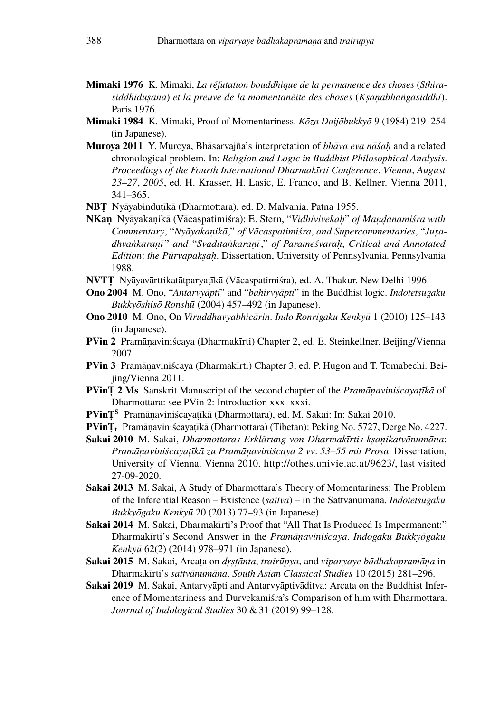- **Mimaki 1976** K. Mimaki, *La réfutation bouddhique de la permanence des choses* (*Sthirasiddhidūṣana*) *et la preuve de la momentanéité des choses* (*Kṣaṇabhaṅgasiddhi*). Paris 1976.
- **Mimaki 1984** K. Mimaki, Proof of Momentariness. *Kōza Daijōbukkyō* 9 (1984) 219–254 (in Japanese).
- **Muroya 2011** Y. Muroya, Bhāsarvajña's interpretation of *bhāva eva nāśaḥ* and a related chronological problem. In: *Religion and Logic in Buddhist Philosophical Analysis*. *Proceedings of the Fourth International Dharmakīrti Conference*. *Vienna*, *August 23–27*, *2005*, ed. H. Krasser, H. Lasic, E. Franco, and B. Kellner. Vienna 2011, 341–365.
- **NBṬ** Nyāyabinduṭīkā (Dharmottara), ed. D. Malvania. Patna 1955.
- **NKaṇ** Nyāyakaṇikā (Vācaspatimiśra): E. Stern, "*Vidhivivekaḥ*" *of Maṇḍanamiśra with Commentary*, "*Nyāyakaṇikā*," *of Vācaspatimiśra*, *and Supercommentaries*, "*Juṣadhvaṅkaraṇī* " *and* "*Svaditaṅkaraṇī*," *of Parameśvaraḥ*, *Critical and Annotated Edition*: *the Pūrvapakṣaḥ*. Dissertation, University of Pennsylvania. Pennsylvania 1988.
- **NVTṬ** Nyāyavārttikatātparyaṭīkā (Vācaspatimiśra), ed. A. Thakur. New Delhi 1996.
- **Ono 2004** M. Ono, "*Antarvyāpti*" and "*bahirvyāpti*" in the Buddhist logic. *Indotetsugaku Bukkyōshisō Ronshū* (2004) 457–492 (in Japanese).
- **Ono 2010** M. Ono, On *Viruddhavyabhicārin*. *Indo Ronrigaku Kenkyū* 1 (2010) 125–143 (in Japanese).
- **PVin 2** Pramāṇaviniścaya (Dharmakīrti) Chapter 2, ed. E. Steinkellner. Beijing/Vienna 2007.
- **PVin 3** Pramāṇaviniścaya (Dharmakīrti) Chapter 3, ed. P. Hugon and T. Tomabechi. Beijing/Vienna 2011.
- **PVinṬ 2 Ms** Sanskrit Manuscript of the second chapter of the *Pramāṇaviniścayaṭīkā* of Dharmottara: see PVin 2: Introduction xxx–xxxi.
- **PVinṬ<sup>S</sup>** Pramāṇaviniścayaṭīkā (Dharmottara), ed. M. Sakai: In: Sakai 2010.
- **PVinṬ<sup>t</sup>** Pramāṇaviniścayaṭīkā (Dharmottara) (Tibetan): Peking No. 5727, Derge No. 4227.
- **Sakai 2010** M. Sakai, *Dharmottaras Erklärung von Dharmakīrtis kṣaṇikatvānumāna*: *Pramāṇaviniścayaṭīkā zu Pramāṇaviniścaya 2 vv*. *53–55 mit Prosa*. Dissertation, University of Vienna. Vienna 2010. http://othes.univie.ac.at/9623/, last visited 27-09-2020.
- **Sakai 2013** M. Sakai, A Study of Dharmottara's Theory of Momentariness: The Problem of the Inferential Reason – Existence (*sattva*) – in the Sattvānumāna. *Indotetsugaku Bukkyōgaku Kenkyū* 20 (2013) 77–93 (in Japanese).
- **Sakai 2014** M. Sakai, Dharmakīrti's Proof that "All That Is Produced Is Impermanent:" Dharmakīrti's Second Answer in the *Pramāṇaviniścaya*. *Indogaku Bukkyōgaku Kenkyū* 62(2) (2014) 978–971 (in Japanese).
- **Sakai 2015** M. Sakai, Arcaṭa on *dṛṣṭānta*, *trairūpya*, and *viparyaye bādhakapramāṇa* in Dharmakīrti's *sattvānumāna*. *South Asian Classical Studies* 10 (2015) 281–296.
- **Sakai 2019** M. Sakai, Antarvyāpti and Antarvyāptivāditva: Arcata on the Buddhist Inference of Momentariness and Durvekamiśra's Comparison of him with Dharmottara. *Journal of Indological Studies* 30 & 31 (2019) 99–128.